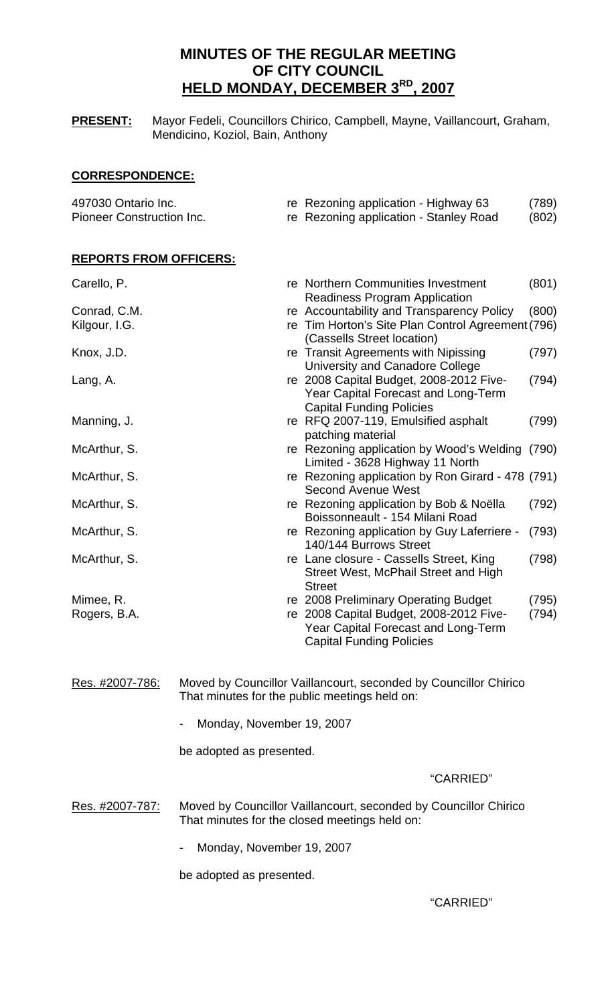# **MINUTES OF THE REGULAR MEETING OF CITY COUNCIL HELD MONDAY, DECEMBER 3RD, 2007**

**PRESENT:** Mayor Fedeli, Councillors Chirico, Campbell, Mayne, Vaillancourt, Graham, Mendicino, Koziol, Bain, Anthony

## **CORRESPONDENCE:**

| 497030 Ontario Inc.       | re Rezoning application - Highway 63   | (789) |
|---------------------------|----------------------------------------|-------|
| Pioneer Construction Inc. | re Rezoning application - Stanley Road | (802) |
|                           |                                        |       |

## **REPORTS FROM OFFICERS:**

| Carello, P.     |                                                                  | re Northern Communities Investment                | (801) |  |  |
|-----------------|------------------------------------------------------------------|---------------------------------------------------|-------|--|--|
|                 |                                                                  | <b>Readiness Program Application</b>              |       |  |  |
| Conrad, C.M.    |                                                                  | re Accountability and Transparency Policy         | (800) |  |  |
| Kilgour, I.G.   |                                                                  | re Tim Horton's Site Plan Control Agreement (796) |       |  |  |
|                 |                                                                  | (Cassells Street location)                        |       |  |  |
| Knox, J.D.      |                                                                  | re Transit Agreements with Nipissing              | (797) |  |  |
|                 |                                                                  | University and Canadore College                   |       |  |  |
| Lang, A.        |                                                                  | re 2008 Capital Budget, 2008-2012 Five-           | (794) |  |  |
|                 |                                                                  | <b>Year Capital Forecast and Long-Term</b>        |       |  |  |
|                 |                                                                  | <b>Capital Funding Policies</b>                   |       |  |  |
| Manning, J.     |                                                                  | re RFQ 2007-119, Emulsified asphalt               | (799) |  |  |
|                 |                                                                  | patching material                                 |       |  |  |
| McArthur, S.    |                                                                  | re Rezoning application by Wood's Welding         | (790) |  |  |
|                 |                                                                  | Limited - 3628 Highway 11 North                   |       |  |  |
| McArthur, S.    |                                                                  | re Rezoning application by Ron Girard - 478 (791) |       |  |  |
|                 |                                                                  | <b>Second Avenue West</b>                         |       |  |  |
| McArthur, S.    |                                                                  | re Rezoning application by Bob & Noëlla           | (792) |  |  |
|                 |                                                                  | Boissonneault - 154 Milani Road                   |       |  |  |
| McArthur, S.    |                                                                  | re Rezoning application by Guy Laferriere -       | (793) |  |  |
|                 |                                                                  | 140/144 Burrows Street                            |       |  |  |
| McArthur, S.    |                                                                  | re Lane closure - Cassells Street, King           | (798) |  |  |
|                 |                                                                  | Street West, McPhail Street and High              |       |  |  |
|                 |                                                                  | <b>Street</b>                                     |       |  |  |
| Mimee, R.       |                                                                  | re 2008 Preliminary Operating Budget              | (795) |  |  |
| Rogers, B.A.    |                                                                  | re 2008 Capital Budget, 2008-2012 Five-           | (794) |  |  |
|                 |                                                                  | Year Capital Forecast and Long-Term               |       |  |  |
|                 |                                                                  | <b>Capital Funding Policies</b>                   |       |  |  |
|                 |                                                                  |                                                   |       |  |  |
|                 |                                                                  |                                                   |       |  |  |
| Res. #2007-786: | Moved by Councillor Vaillancourt, seconded by Councillor Chirico |                                                   |       |  |  |
|                 | That minutes for the public meetings held on:                    |                                                   |       |  |  |
|                 |                                                                  |                                                   |       |  |  |
|                 | Monday, November 19, 2007                                        |                                                   |       |  |  |
|                 | be adopted as presented.                                         |                                                   |       |  |  |
|                 |                                                                  |                                                   |       |  |  |

"CARRIED"

Res. #2007-787: Moved by Councillor Vaillancourt, seconded by Councillor Chirico That minutes for the closed meetings held on:

- Monday, November 19, 2007

be adopted as presented.

"CARRIED"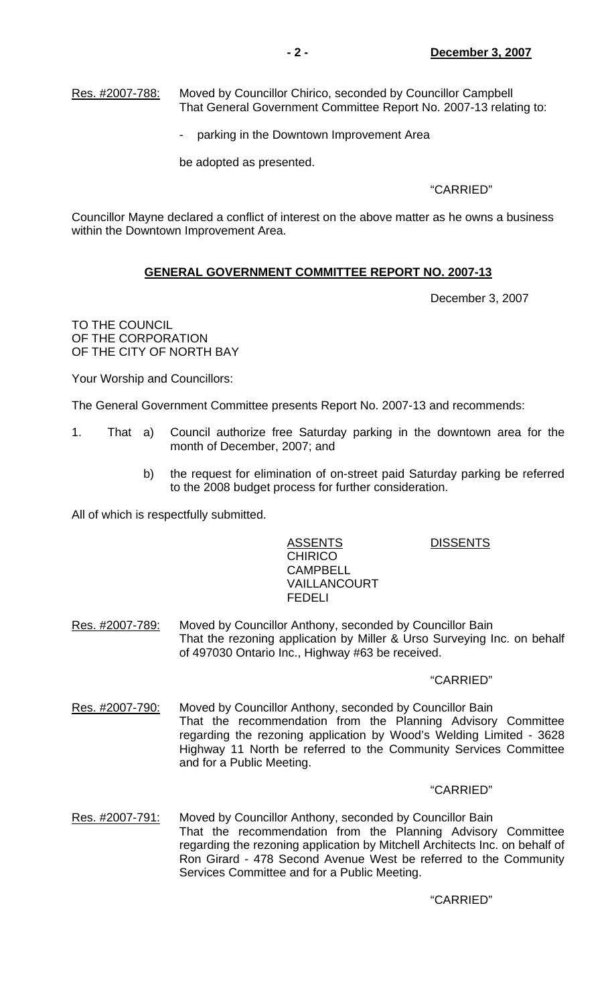Res. #2007-788: Moved by Councillor Chirico, seconded by Councillor Campbell That General Government Committee Report No. 2007-13 relating to:

parking in the Downtown Improvement Area

be adopted as presented.

## "CARRIED"

Councillor Mayne declared a conflict of interest on the above matter as he owns a business within the Downtown Improvement Area.

## **GENERAL GOVERNMENT COMMITTEE REPORT NO. 2007-13**

December 3, 2007

TO THE COUNCIL OF THE CORPORATION OF THE CITY OF NORTH BAY

Your Worship and Councillors:

The General Government Committee presents Report No. 2007-13 and recommends:

- 1. That a) Council authorize free Saturday parking in the downtown area for the month of December, 2007; and
	- b) the request for elimination of on-street paid Saturday parking be referred to the 2008 budget process for further consideration.

All of which is respectfully submitted.

# ASSENTS DISSENTS **CHIRICO**  CAMPBELL VAILLANCOURT

FEDELI

Res. #2007-789: Moved by Councillor Anthony, seconded by Councillor Bain That the rezoning application by Miller & Urso Surveying Inc. on behalf of 497030 Ontario Inc., Highway #63 be received.

## "CARRIED"

Res. #2007-790: Moved by Councillor Anthony, seconded by Councillor Bain That the recommendation from the Planning Advisory Committee regarding the rezoning application by Wood's Welding Limited - 3628 Highway 11 North be referred to the Community Services Committee and for a Public Meeting.

## "CARRIED"

Res. #2007-791: Moved by Councillor Anthony, seconded by Councillor Bain That the recommendation from the Planning Advisory Committee regarding the rezoning application by Mitchell Architects Inc. on behalf of Ron Girard - 478 Second Avenue West be referred to the Community Services Committee and for a Public Meeting.

## "CARRIED"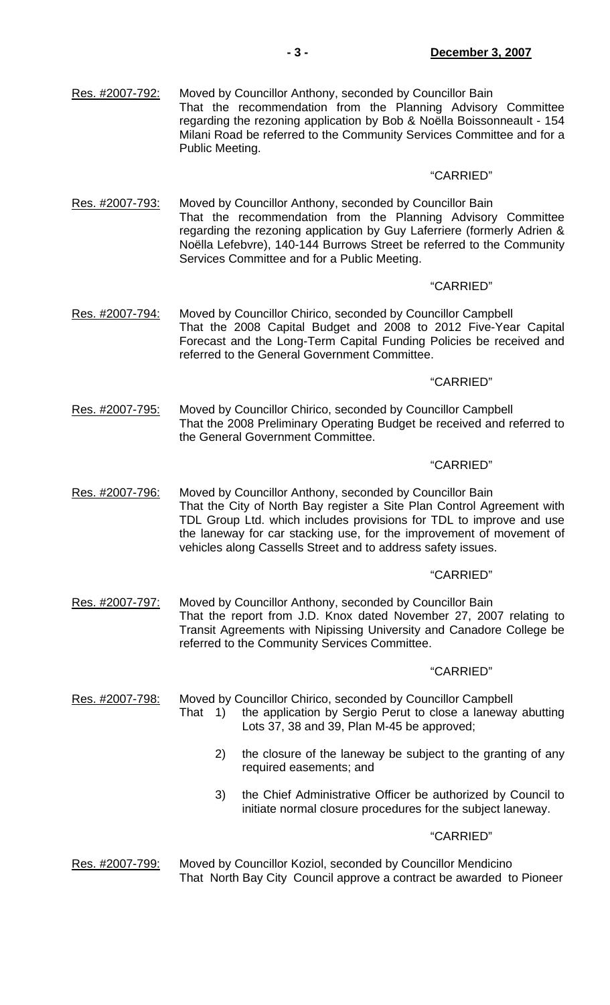## "CARRIED"

Res. #2007-793: Moved by Councillor Anthony, seconded by Councillor Bain That the recommendation from the Planning Advisory Committee regarding the rezoning application by Guy Laferriere (formerly Adrien & Noëlla Lefebvre), 140-144 Burrows Street be referred to the Community Services Committee and for a Public Meeting.

## "CARRIED"

Res. #2007-794: Moved by Councillor Chirico, seconded by Councillor Campbell That the 2008 Capital Budget and 2008 to 2012 Five-Year Capital Forecast and the Long-Term Capital Funding Policies be received and referred to the General Government Committee.

#### "CARRIED"

Res. #2007-795: Moved by Councillor Chirico, seconded by Councillor Campbell That the 2008 Preliminary Operating Budget be received and referred to the General Government Committee.

#### "CARRIED"

Res. #2007-796: Moved by Councillor Anthony, seconded by Councillor Bain That the City of North Bay register a Site Plan Control Agreement with TDL Group Ltd. which includes provisions for TDL to improve and use the laneway for car stacking use, for the improvement of movement of vehicles along Cassells Street and to address safety issues.

#### "CARRIED"

Res. #2007-797: Moved by Councillor Anthony, seconded by Councillor Bain That the report from J.D. Knox dated November 27, 2007 relating to Transit Agreements with Nipissing University and Canadore College be referred to the Community Services Committee.

#### "CARRIED"

Res. #2007-798: Moved by Councillor Chirico, seconded by Councillor Campbell That 1) the application by Sergio Perut to close a laneway abutting Lots 37, 38 and 39, Plan M-45 be approved;

- 2) the closure of the laneway be subject to the granting of any required easements; and
- 3) the Chief Administrative Officer be authorized by Council to initiate normal closure procedures for the subject laneway.

#### "CARRIED"

Res. #2007-799: Moved by Councillor Koziol, seconded by Councillor Mendicino That North Bay City Council approve a contract be awarded to Pioneer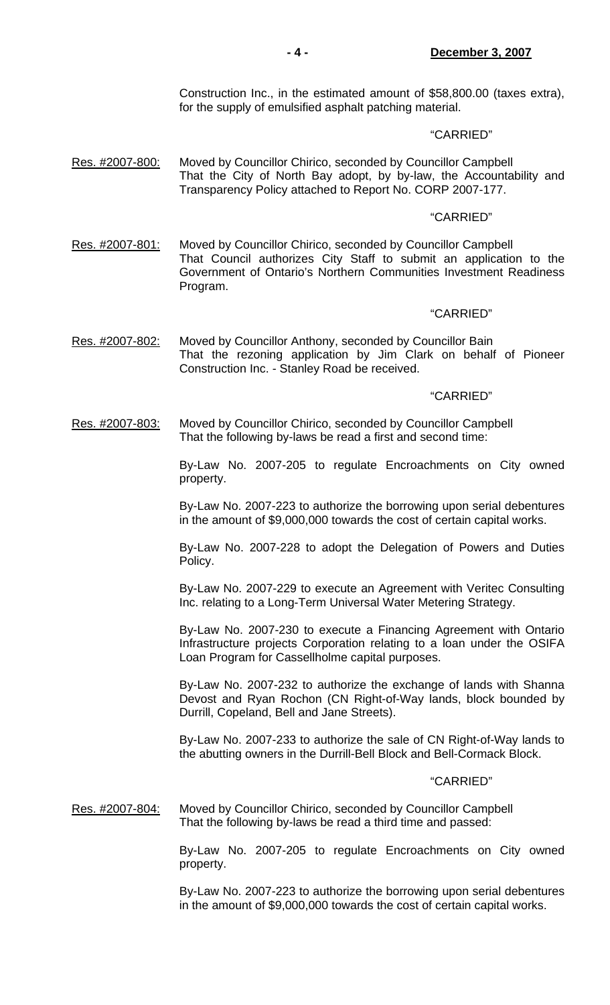Construction Inc., in the estimated amount of \$58,800.00 (taxes extra), for the supply of emulsified asphalt patching material.

### "CARRIED"

Res. #2007-800: Moved by Councillor Chirico, seconded by Councillor Campbell That the City of North Bay adopt, by by-law, the Accountability and Transparency Policy attached to Report No. CORP 2007-177.

#### "CARRIED"

Res. #2007-801: Moved by Councillor Chirico, seconded by Councillor Campbell That Council authorizes City Staff to submit an application to the Government of Ontario's Northern Communities Investment Readiness Program.

#### "CARRIED"

Res. #2007-802: Moved by Councillor Anthony, seconded by Councillor Bain That the rezoning application by Jim Clark on behalf of Pioneer Construction Inc. - Stanley Road be received.

#### "CARRIED"

Res. #2007-803: Moved by Councillor Chirico, seconded by Councillor Campbell That the following by-laws be read a first and second time:

> By-Law No. 2007-205 to regulate Encroachments on City owned property.

> By-Law No. 2007-223 to authorize the borrowing upon serial debentures in the amount of \$9,000,000 towards the cost of certain capital works.

> By-Law No. 2007-228 to adopt the Delegation of Powers and Duties Policy.

> By-Law No. 2007-229 to execute an Agreement with Veritec Consulting Inc. relating to a Long-Term Universal Water Metering Strategy.

> By-Law No. 2007-230 to execute a Financing Agreement with Ontario Infrastructure projects Corporation relating to a loan under the OSIFA Loan Program for Cassellholme capital purposes.

> By-Law No. 2007-232 to authorize the exchange of lands with Shanna Devost and Ryan Rochon (CN Right-of-Way lands, block bounded by Durrill, Copeland, Bell and Jane Streets).

> By-Law No. 2007-233 to authorize the sale of CN Right-of-Way lands to the abutting owners in the Durrill-Bell Block and Bell-Cormack Block.

#### "CARRIED"

Res. #2007-804: Moved by Councillor Chirico, seconded by Councillor Campbell That the following by-laws be read a third time and passed:

> By-Law No. 2007-205 to regulate Encroachments on City owned property.

> By-Law No. 2007-223 to authorize the borrowing upon serial debentures in the amount of \$9,000,000 towards the cost of certain capital works.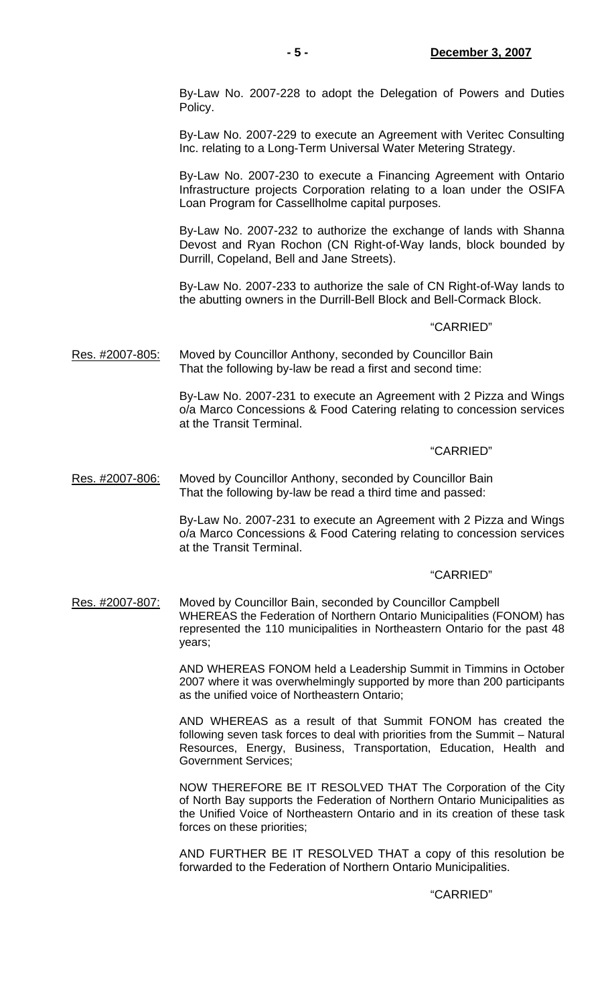By-Law No. 2007-228 to adopt the Delegation of Powers and Duties Policy.

 By-Law No. 2007-229 to execute an Agreement with Veritec Consulting Inc. relating to a Long-Term Universal Water Metering Strategy.

 By-Law No. 2007-230 to execute a Financing Agreement with Ontario Infrastructure projects Corporation relating to a loan under the OSIFA Loan Program for Cassellholme capital purposes.

 By-Law No. 2007-232 to authorize the exchange of lands with Shanna Devost and Ryan Rochon (CN Right-of-Way lands, block bounded by Durrill, Copeland, Bell and Jane Streets).

 By-Law No. 2007-233 to authorize the sale of CN Right-of-Way lands to the abutting owners in the Durrill-Bell Block and Bell-Cormack Block.

#### "CARRIED"

Res. #2007-805: Moved by Councillor Anthony, seconded by Councillor Bain That the following by-law be read a first and second time:

> By-Law No. 2007-231 to execute an Agreement with 2 Pizza and Wings o/a Marco Concessions & Food Catering relating to concession services at the Transit Terminal.

#### "CARRIED"

Res. #2007-806: Moved by Councillor Anthony, seconded by Councillor Bain That the following by-law be read a third time and passed:

> By-Law No. 2007-231 to execute an Agreement with 2 Pizza and Wings o/a Marco Concessions & Food Catering relating to concession services at the Transit Terminal.

#### "CARRIED"

Res. #2007-807: Moved by Councillor Bain, seconded by Councillor Campbell WHEREAS the Federation of Northern Ontario Municipalities (FONOM) has represented the 110 municipalities in Northeastern Ontario for the past 48 years;

> AND WHEREAS FONOM held a Leadership Summit in Timmins in October 2007 where it was overwhelmingly supported by more than 200 participants as the unified voice of Northeastern Ontario;

> AND WHEREAS as a result of that Summit FONOM has created the following seven task forces to deal with priorities from the Summit – Natural Resources, Energy, Business, Transportation, Education, Health and Government Services;

> NOW THEREFORE BE IT RESOLVED THAT The Corporation of the City of North Bay supports the Federation of Northern Ontario Municipalities as the Unified Voice of Northeastern Ontario and in its creation of these task forces on these priorities;

> AND FURTHER BE IT RESOLVED THAT a copy of this resolution be forwarded to the Federation of Northern Ontario Municipalities.

#### "CARRIED"